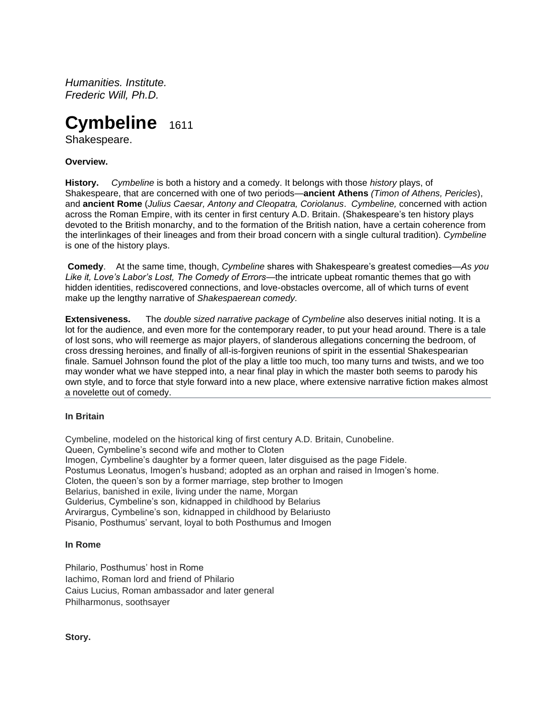*Humanities. Institute. Frederic Will, Ph.D.*

# **Cymbeline** 1611

Shakespeare.

# **Overview.**

**History.** *Cymbeline* is both a history and a comedy. It belongs with those *history* plays, of Shakespeare, that are concerned with one of two periods—**ancient Athens** *(Timon of Athens, Pericles*), and **ancient Rome** (*Julius Caesar, Antony and Cleopatra, Coriolanus*. *Cymbeline,* concerned with action across the Roman Empire, with its center in first century A.D. Britain. (Shakespeare's ten history plays devoted to the British monarchy, and to the formation of the British nation, have a certain coherence from the interlinkages of their lineages and from their broad concern with a single cultural tradition). *Cymbeline* is one of the history plays.

**Comedy**. At the same time, though, *Cymbeline* shares with Shakespeare's greatest comedies—*As you Like it, Love's Labor's Lost, The Comedy of Errors*—the intricate upbeat romantic themes that go with hidden identities, rediscovered connections, and love-obstacles overcome, all of which turns of event make up the lengthy narrative of *Shakespaerean comedy.*

**Extensiveness.** The *double sized narrative package* of *Cymbeline* also deserves initial noting. It is a lot for the audience, and even more for the contemporary reader, to put your head around. There is a tale of lost sons, who will reemerge as major players, of slanderous allegations concerning the bedroom, of cross dressing heroines, and finally of all-is-forgiven reunions of spirit in the essential Shakespearian finale. Samuel Johnson found the plot of the play a little too much, too many turns and twists, and we too may wonder what we have stepped into, a near final play in which the master both seems to parody his own style, and to force that style forward into a new place, where extensive narrative fiction makes almost a novelette out of comedy.

## **In Britain**

Cymbeline, modeled on the historical king of first century A.D. Britain, Cunobeline. Queen, Cymbeline's second wife and mother to Cloten Imogen, Cymbeline's daughter by a former queen, later disguised as the page Fidele. Postumus Leonatus, Imogen's husband; adopted as an orphan and raised in Imogen's home. Cloten, the queen's son by a former marriage, step brother to Imogen Belarius, banished in exile, living under the name, Morgan Gulderius, Cymbeline's son, kidnapped in childhood by Belarius Arvirargus, Cymbeline's son, kidnapped in childhood by Belariusto Pisanio, Posthumus' servant, loyal to both Posthumus and Imogen

## **In Rome**

Philario, Posthumus' host in Rome Iachimo, Roman lord and friend of Philario Caius Lucius, Roman ambassador and later general Philharmonus, soothsayer

**Story.**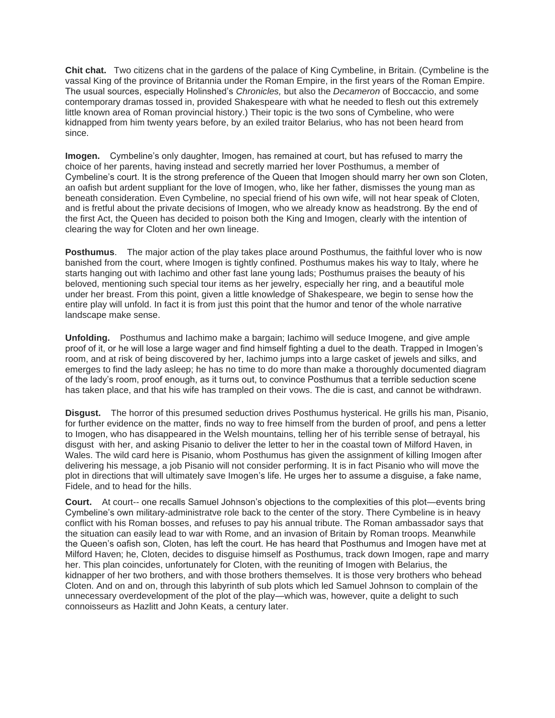**Chit chat.** Two citizens chat in the gardens of the palace of King Cymbeline, in Britain. (Cymbeline is the vassal King of the province of Britannia under the Roman Empire, in the first years of the Roman Empire. The usual sources, especially Holinshed's *Chronicles,* but also the *Decameron* of Boccaccio, and some contemporary dramas tossed in, provided Shakespeare with what he needed to flesh out this extremely little known area of Roman provincial history.) Their topic is the two sons of Cymbeline, who were kidnapped from him twenty years before, by an exiled traitor Belarius, who has not been heard from since.

**Imogen.** Cymbeline's only daughter, Imogen, has remained at court, but has refused to marry the choice of her parents, having instead and secretly married her lover Posthumus, a member of Cymbeline's court. It is the strong preference of the Queen that Imogen should marry her own son Cloten, an oafish but ardent suppliant for the love of Imogen, who, like her father, dismisses the young man as beneath consideration. Even Cymbeline, no special friend of his own wife, will not hear speak of Cloten, and is fretful about the private decisions of Imogen, who we already know as headstrong. By the end of the first Act, the Queen has decided to poison both the King and Imogen, clearly with the intention of clearing the way for Cloten and her own lineage.

**Posthumus**. The major action of the play takes place around Posthumus, the faithful lover who is now banished from the court, where Imogen is tightly confined. Posthumus makes his way to Italy, where he starts hanging out with Iachimo and other fast lane young lads; Posthumus praises the beauty of his beloved, mentioning such special tour items as her jewelry, especially her ring, and a beautiful mole under her breast. From this point, given a little knowledge of Shakespeare, we begin to sense how the entire play will unfold. In fact it is from just this point that the humor and tenor of the whole narrative landscape make sense.

**Unfolding.** Posthumus and Iachimo make a bargain; Iachimo will seduce Imogene, and give ample proof of it, or he will lose a large wager and find himself fighting a duel to the death. Trapped in Imogen's room, and at risk of being discovered by her, Iachimo jumps into a large casket of jewels and silks, and emerges to find the lady asleep; he has no time to do more than make a thoroughly documented diagram of the lady's room, proof enough, as it turns out, to convince Posthumus that a terrible seduction scene has taken place, and that his wife has trampled on their vows. The die is cast, and cannot be withdrawn.

**Disgust.** The horror of this presumed seduction drives Posthumus hysterical. He grills his man, Pisanio, for further evidence on the matter, finds no way to free himself from the burden of proof, and pens a letter to Imogen, who has disappeared in the Welsh mountains, telling her of his terrible sense of betrayal, his disgust with her, and asking Pisanio to deliver the letter to her in the coastal town of Milford Haven, in Wales. The wild card here is Pisanio, whom Posthumus has given the assignment of killing Imogen after delivering his message, a job Pisanio will not consider performing. It is in fact Pisanio who will move the plot in directions that will ultimately save Imogen's life. He urges her to assume a disguise, a fake name, Fidele, and to head for the hills.

**Court.** At court-- one recalls Samuel Johnson's objections to the complexities of this plot—events bring Cymbeline's own military-administratve role back to the center of the story. There Cymbeline is in heavy conflict with his Roman bosses, and refuses to pay his annual tribute. The Roman ambassador says that the situation can easily lead to war with Rome, and an invasion of Britain by Roman troops. Meanwhile the Queen's oafish son, Cloten, has left the court. He has heard that Posthumus and Imogen have met at Milford Haven; he, Cloten, decides to disguise himself as Posthumus, track down Imogen, rape and marry her. This plan coincides, unfortunately for Cloten, with the reuniting of Imogen with Belarius, the kidnapper of her two brothers, and with those brothers themselves. It is those very brothers who behead Cloten. And on and on, through this labyrinth of sub plots which led Samuel Johnson to complain of the unnecessary overdevelopment of the plot of the play—which was, however, quite a delight to such connoisseurs as Hazlitt and John Keats, a century later.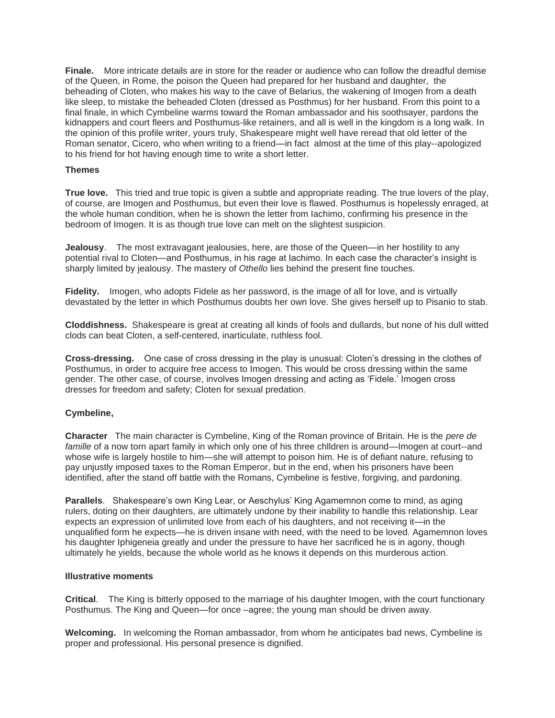**Finale.** More intricate details are in store for the reader or audience who can follow the dreadful demise of the Queen, in Rome, the poison the Queen had prepared for her husband and daughter, the beheading of Cloten, who makes his way to the cave of Belarius, the wakening of Imogen from a death like sleep, to mistake the beheaded Cloten (dressed as Posthmus) for her husband. From this point to a final finale, in which Cymbeline warms toward the Roman ambassador and his soothsayer, pardons the kidnappers and court fleers and Posthumus-like retainers, and all is well in the kingdom is a long walk. In the opinion of this profile writer, yours truly, Shakespeare might well have reread that old letter of the Roman senator, Cicero, who when writing to a friend—in fact almost at the time of this play--apologized to his friend for hot having enough time to write a short letter.

# **Themes**

**True love.** This tried and true topic is given a subtle and appropriate reading. The true lovers of the play, of course, are Imogen and Posthumus, but even their love is flawed. Posthumus is hopelessly enraged, at the whole human condition, when he is shown the letter from Iachimo, confirming his presence in the bedroom of Imogen. It is as though true love can melt on the slightest suspicion.

**Jealousy**. The most extravagant jealousies, here, are those of the Queen—in her hostility to any potential rival to Cloten—and Posthumus, in his rage at Iachimo. In each case the character's insight is sharply limited by jealousy. The mastery of *Othello* lies behind the present fine touches.

**Fidelity.** Imogen, who adopts Fidele as her password, is the image of all for love, and is virtually devastated by the letter in which Posthumus doubts her own love. She gives herself up to Pisanio to stab.

**Cloddishness.** Shakespeare is great at creating all kinds of fools and dullards, but none of his dull witted clods can beat Cloten, a self-centered, inarticulate, ruthless fool.

**Cross-dressing.** One case of cross dressing in the play is unusual: Cloten's dressing in the clothes of Posthumus, in order to acquire free access to Imogen. This would be cross dressing within the same gender. The other case, of course, involves Imogen dressing and acting as 'Fidele.' Imogen cross dresses for freedom and safety; Cloten for sexual predation.

# **Cymbeline,**

**Character** The main character is Cymbeline, King of the Roman province of Britain. He is the *pere de famille* of a now torn apart family in which only one of his three chlldren is around—Imogen at court--and whose wife is largely hostile to him—she will attempt to poison him. He is of defiant nature, refusing to pay unjustly imposed taxes to the Roman Emperor, but in the end, when his prisoners have been identified, after the stand off battle with the Romans, Cymbeline is festive, forgiving, and pardoning.

**Parallels**. Shakespeare's own King Lear, or Aeschylus' King Agamemnon come to mind, as aging rulers, doting on their daughters, are ultimately undone by their inability to handle this relationship. Lear expects an expression of unlimited love from each of his daughters, and not receiving it—in the unqualified form he expects—he is driven insane with need, with the need to be loved. Agamemnon loves his daughter Iphigeneia greatly and under the pressure to have her sacrificed he is in agony, though ultimately he yields, because the whole world as he knows it depends on this murderous action.

## **Illustrative moments**

**Critical**. The King is bitterly opposed to the marriage of his daughter Imogen, with the court functionary Posthumus. The King and Queen—for once –agree; the young man should be driven away.

**Welcoming.** In welcoming the Roman ambassador, from whom he anticipates bad news, Cymbeline is proper and professional. His personal presence is dignified.